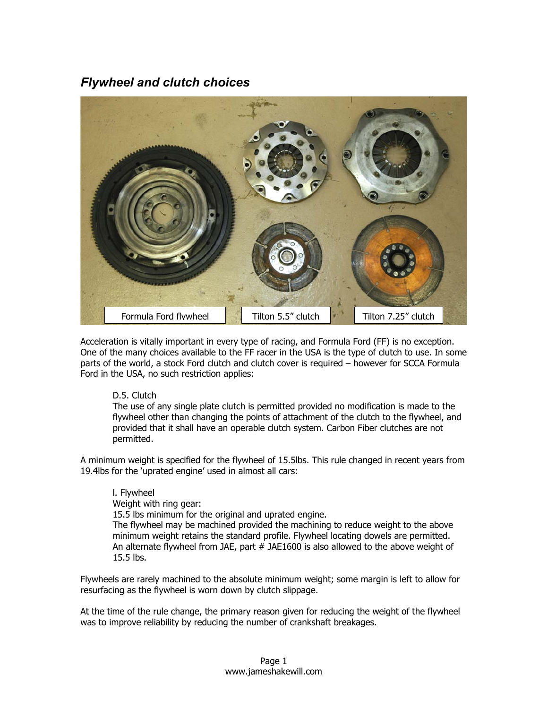# *Flywheel and clutch choices*



Acceleration is vitally important in every type of racing, and Formula Ford (FF) is no exception. One of the many choices available to the FF racer in the USA is the type of clutch to use. In some parts of the world, a stock Ford clutch and clutch cover is required – however for SCCA Formula Ford in the USA, no such restriction applies:

#### D.5. Clutch

The use of any single plate clutch is permitted provided no modification is made to the flywheel other than changing the points of attachment of the clutch to the flywheel, and provided that it shall have an operable clutch system. Carbon Fiber clutches are not permitted.

A minimum weight is specified for the flywheel of 15.5lbs. This rule changed in recent years from 19.4lbs for the 'uprated engine' used in almost all cars:

l. Flywheel Weight with ring gear: 15.5 lbs minimum for the original and uprated engine. The flywheel may be machined provided the machining to reduce weight to the above minimum weight retains the standard profile. Flywheel locating dowels are permitted. An alternate flywheel from JAE, part # JAE1600 is also allowed to the above weight of 15.5 lbs.

Flywheels are rarely machined to the absolute minimum weight; some margin is left to allow for resurfacing as the flywheel is worn down by clutch slippage.

At the time of the rule change, the primary reason given for reducing the weight of the flywheel was to improve reliability by reducing the number of crankshaft breakages.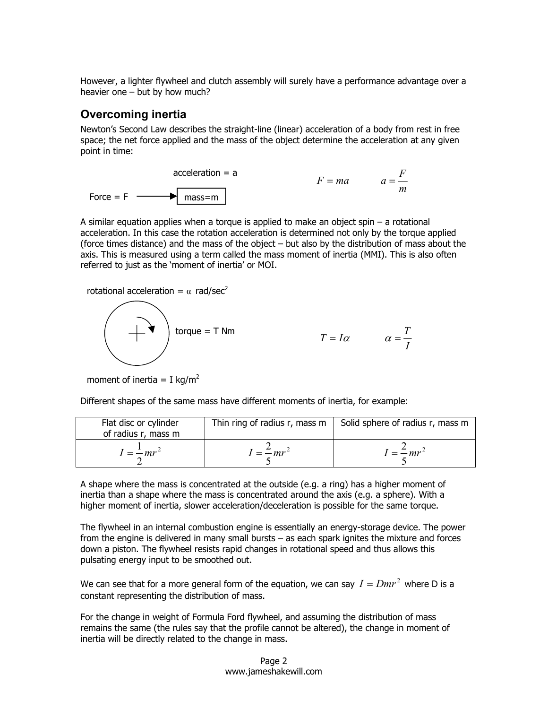However, a lighter flywheel and clutch assembly will surely have a performance advantage over a heavier one – but by how much?

#### **Overcoming inertia**

Newton's Second Law describes the straight-line (linear) acceleration of a body from rest in free space; the net force applied and the mass of the object determine the acceleration at any given point in time:

$$
acceleration = a
$$
\n
$$
F = ma
$$
\n
$$
a = \frac{F}{m}
$$
\nForce = F

\n
$$
T = ma
$$
\n
$$
a = \frac{F}{m}
$$

A similar equation applies when a torque is applied to make an object spin – a rotational acceleration. In this case the rotation acceleration is determined not only by the torque applied (force times distance) and the mass of the object – but also by the distribution of mass about the axis. This is measured using a term called the mass moment of inertia (MMI). This is also often referred to just as the 'moment of inertia' or MOI.

rotational acceleration =  $\alpha$  rad/sec<sup>2</sup>



$$
\alpha = \frac{T}{I}
$$

 $T = I\alpha$ 

moment of inertia = I kg/m<sup>2</sup>

Different shapes of the same mass have different moments of inertia, for example:

| Flat disc or cylinder<br>of radius r, mass m | Thin ring of radius r, mass m | Solid sphere of radius r, mass m |
|----------------------------------------------|-------------------------------|----------------------------------|
| $I = -mr^2$                                  | $I = \frac{2}{\pi}mr^2$       | $I = \frac{2}{m}mr^2$            |

A shape where the mass is concentrated at the outside (e.g. a ring) has a higher moment of inertia than a shape where the mass is concentrated around the axis (e.g. a sphere). With a higher moment of inertia, slower acceleration/deceleration is possible for the same torque.

The flywheel in an internal combustion engine is essentially an energy-storage device. The power from the engine is delivered in many small bursts – as each spark ignites the mixture and forces down a piston. The flywheel resists rapid changes in rotational speed and thus allows this pulsating energy input to be smoothed out.

We can see that for a more general form of the equation, we can say  $I = Dmr^2$  where D is a constant representing the distribution of mass.

For the change in weight of Formula Ford flywheel, and assuming the distribution of mass remains the same (the rules say that the profile cannot be altered), the change in moment of inertia will be directly related to the change in mass.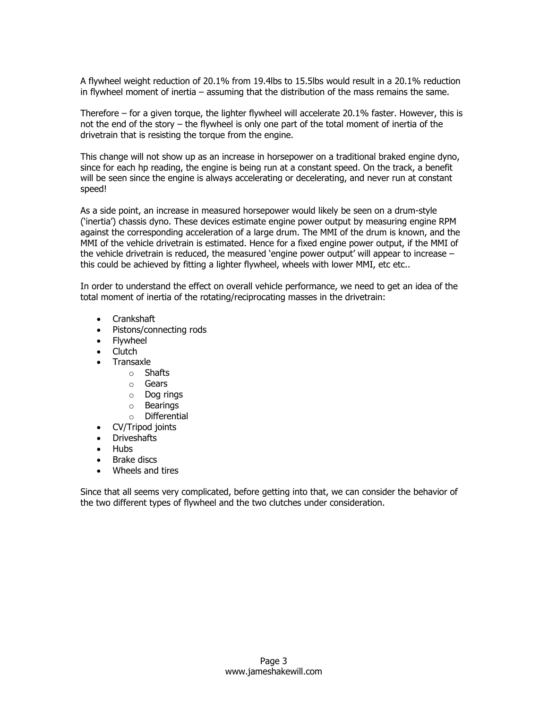A flywheel weight reduction of 20.1% from 19.4lbs to 15.5lbs would result in a 20.1% reduction in flywheel moment of inertia – assuming that the distribution of the mass remains the same.

Therefore – for a given torque, the lighter flywheel will accelerate 20.1% faster. However, this is not the end of the story – the flywheel is only one part of the total moment of inertia of the drivetrain that is resisting the torque from the engine.

This change will not show up as an increase in horsepower on a traditional braked engine dyno, since for each hp reading, the engine is being run at a constant speed. On the track, a benefit will be seen since the engine is always accelerating or decelerating, and never run at constant speed!

As a side point, an increase in measured horsepower would likely be seen on a drum-style ('inertia') chassis dyno. These devices estimate engine power output by measuring engine RPM against the corresponding acceleration of a large drum. The MMI of the drum is known, and the MMI of the vehicle drivetrain is estimated. Hence for a fixed engine power output, if the MMI of the vehicle drivetrain is reduced, the measured 'engine power output' will appear to increase – this could be achieved by fitting a lighter flywheel, wheels with lower MMI, etc etc..

In order to understand the effect on overall vehicle performance, we need to get an idea of the total moment of inertia of the rotating/reciprocating masses in the drivetrain:

- Crankshaft
- Pistons/connecting rods
- Flywheel
- Clutch
- Transaxle
	- o Shafts
	- o Gears
	- o Dog rings
	- o Bearings
	- o Differential
- CV/Tripod joints
- Driveshafts
- Hubs
- Brake discs
- Wheels and tires

Since that all seems very complicated, before getting into that, we can consider the behavior of the two different types of flywheel and the two clutches under consideration.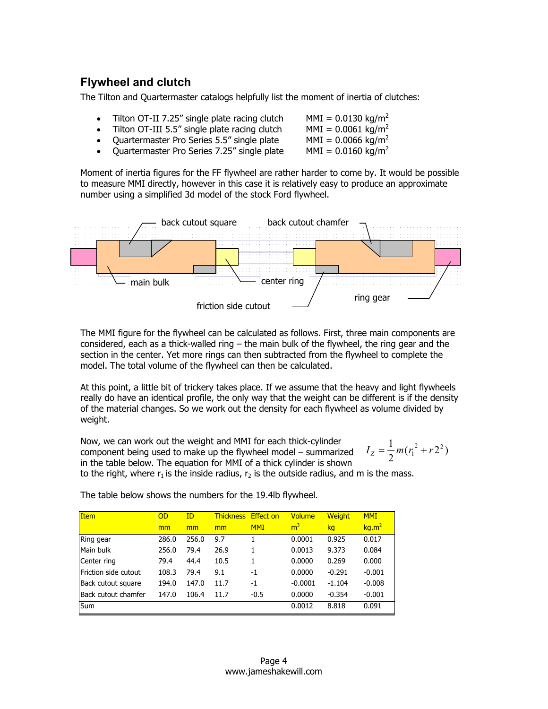## **Flywheel and clutch**

The Tilton and Quartermaster catalogs helpfully list the moment of inertia of clutches:

- Tilton OT-II 7.25" single plate racing clutch  $MMI = 0.0130$  kg/m<sup>2</sup>
- Tilton OT-III 5.5" single plate racing clutch  $MMI = 0.0061 \text{ kg/m}^2$
- Quartermaster Pro Series 5.5" single plate MMI =  $0.0066 \text{ kg/m}^2$
- Quartermaster Pro Series 7.25" single plate MMI =  $0.0160 \text{ kg/m}^2$

Moment of inertia figures for the FF flywheel are rather harder to come by. It would be possible to measure MMI directly, however in this case it is relatively easy to produce an approximate number using a simplified 3d model of the stock Ford flywheel.



The MMI figure for the flywheel can be calculated as follows. First, three main components are considered, each as a thick-walled ring – the main bulk of the flywheel, the ring gear and the section in the center. Yet more rings can then subtracted from the flywheel to complete the model. The total volume of the flywheel can then be calculated.

At this point, a little bit of trickery takes place. If we assume that the heavy and light flywheels really do have an identical profile, the only way that the weight can be different is if the density of the material changes. So we work out the density for each flywheel as volume divided by weight.

Now, we can work out the weight and MMI for each thick-cylinder component being used to make up the flywheel model – summarized in the table below. The equation for MMI of a thick cylinder is shown to the right, where  $r_1$  is the inside radius,  $r_2$  is the outside radius, and m is the mass.  $I_z = \frac{1}{2}m(r_1^2 + r_2^2)$ 

| <b>Item</b>          | OD    | ID    | <b>Thickness</b> | <b>Effect on</b> | <b>Volume</b>  | <b>Weight</b> | <b>MMI</b>        |
|----------------------|-------|-------|------------------|------------------|----------------|---------------|-------------------|
|                      | mm    | mm    | mm               | <b>MMI</b>       | m <sup>3</sup> | kg            | kg.m <sup>2</sup> |
| Ring gear            | 286.0 | 256.0 | 9.7              |                  | 0.0001         | 0.925         | 0.017             |
| Main bulk            | 256.0 | 79.4  | 26.9             |                  | 0.0013         | 9.373         | 0.084             |
| Center ring          | 79.4  | 44.4  | 10.5             |                  | 0.0000         | 0.269         | 0.000             |
| Friction side cutout | 108.3 | 79.4  | 9.1              | -1               | 0.0000         | $-0.291$      | $-0.001$          |
| Back cutout square   | 194.0 | 147.0 | 11.7             | $-1$             | $-0.0001$      | $-1.104$      | $-0.008$          |
| Back cutout chamfer  | 147.0 | 106.4 | 11.7             | $-0.5$           | 0.0000         | $-0.354$      | $-0.001$          |
| <b>Sum</b>           |       |       |                  |                  | 0.0012         | 8.818         | 0.091             |

The table below shows the numbers for the 19.4lb flywheel.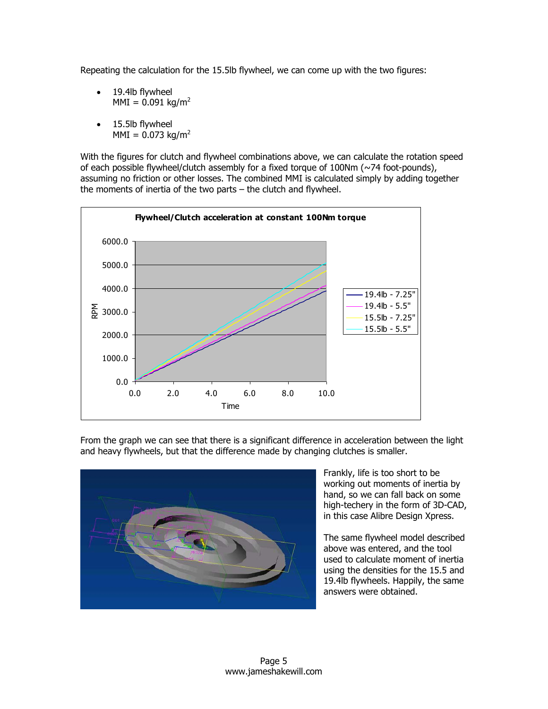Repeating the calculation for the 15.5lb flywheel, we can come up with the two figures:

- 19.4lb flywheel  $MMI = 0.091$  kg/m<sup>2</sup>
- 15.5lb flywheel  $MMI = 0.073$  kg/m<sup>2</sup>

With the figures for clutch and flywheel combinations above, we can calculate the rotation speed of each possible flywheel/clutch assembly for a fixed torque of 100Nm (~74 foot-pounds), assuming no friction or other losses. The combined MMI is calculated simply by adding together the moments of inertia of the two parts – the clutch and flywheel.



From the graph we can see that there is a significant difference in acceleration between the light and heavy flywheels, but that the difference made by changing clutches is smaller.



Frankly, life is too short to be working out moments of inertia by hand, so we can fall back on some high-techery in the form of 3D-C AD, in this case Alibre Design Xpress .

The same flywheel model described used to calculate moment of inertia above was entered, and the tool using the densities for the 15.5 and 19.4lb flywheels. Happily, the same answers were obtained.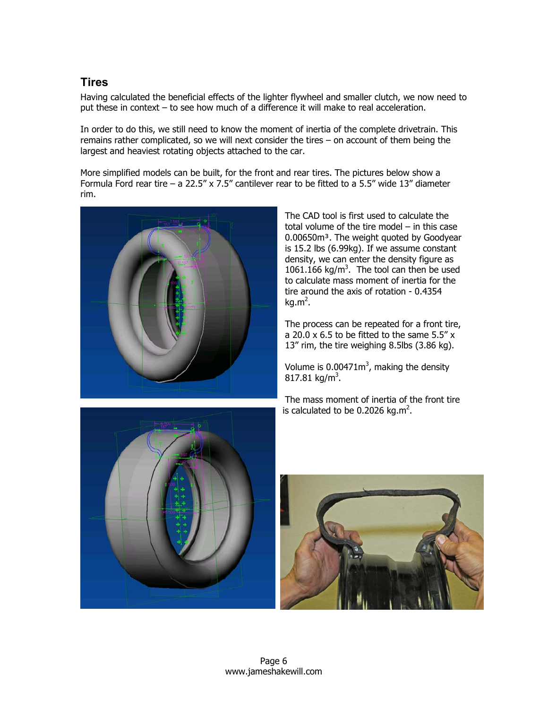### **Tires**

Having calculated the beneficial effects of the lighter flywheel and smaller clutch, we now need to put these in context – to see how much of a difference it will make to real acceleration.

In order to do this, we still need to know the moment of inertia of the complete drivetrain. This remains rather complicated, so we will next consider the tires – on account of them being the largest and heaviest rotating objects attached to the car.

More simplified models can be built, for the front and rear tires. The pictures below show a Formula Ford rear tire – a 22.5" x 7.5" cantilever rear to be fitted to a 5.5" wide 13" diameter rim.



The CAD tool is first used to calculate the total volume of the tire model – in this case 0.00650m<sup>3</sup>. The weight quoted by Goodyear is 15.2 lbs (6.99kg). If we assume constant density, we can enter the density figure as 1061.166 kg/ $m<sup>3</sup>$ . The tool can then be used to calculate mass moment of inertia for the tire around the axis of rotation - 0.4354 kg.m $^2$ .

The process can be repeated for a front tire, a 20.0 x 6.5 to be fitted to the same 5.5" x 13" rim, the tire weighing 8.5lbs (3.86 kg).

Volume is  $0.00471m^3$ , making the density  $817.81 \text{ kg/m}^3$ .

The mass moment of inertia of the front tire is calculated to be 0.2026 kg.m<sup>2</sup>.



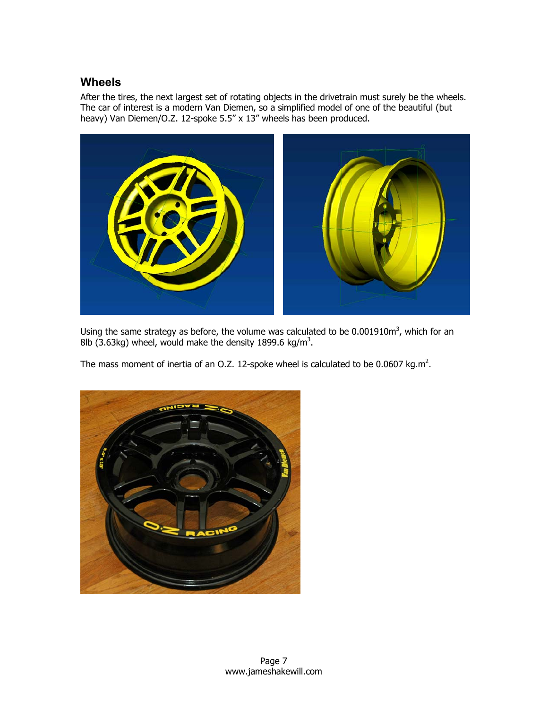### **Wheels**

After the tires, the next largest set of rotating objects in the drivetrain must surely be the wheels. The car of interest is a modern Van Diemen, so a simplified model of one of the beautiful (but heavy) Van Diemen/O.Z. 12-spoke 5.5" x 13" wheels has been produced.



Using the same strategy as before, the volume was calculated to be 0.001910m<sup>3</sup>, which for an 8lb (3.63kg) wheel, would make the density 1899.6 kg/m<sup>3</sup>.

The mass moment of inertia of an O.Z. 12-spoke wheel is calculated to be 0.0607 kg.m<sup>2</sup>.

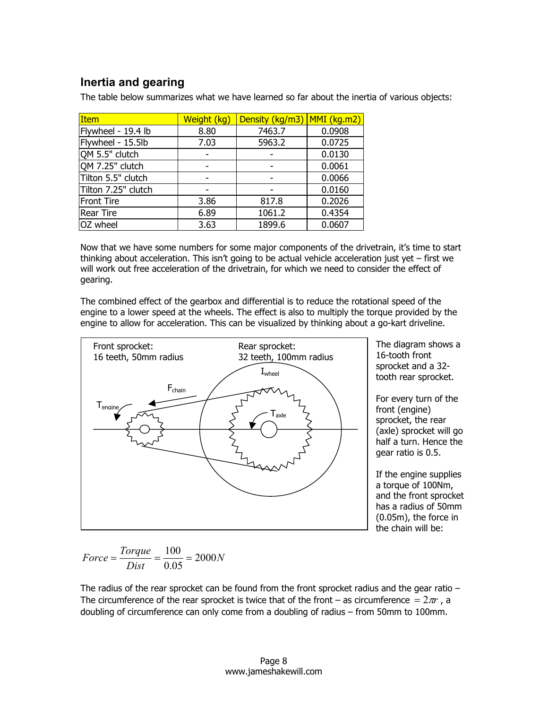## **Inertia and gearing**

The table below summarizes what we have learned so far about the inertia of various objects:

| <b>Item</b>         | Weight (kg) | Density (kg/m3) | $MMI$ (kg.m2) |  |
|---------------------|-------------|-----------------|---------------|--|
| Flywheel - 19.4 lb  | 8.80        | 7463.7          | 0.0908        |  |
| Flywheel - 15.5lb   | 7.03        | 5963.2          | 0.0725        |  |
| OM 5.5" clutch      |             |                 | 0.0130        |  |
| OM 7.25" clutch     |             |                 | 0.0061        |  |
| Tilton 5.5" clutch  |             |                 | 0.0066        |  |
| Tilton 7.25" clutch |             |                 | 0.0160        |  |
| <b>Front Tire</b>   | 3.86        | 817.8           | 0.2026        |  |
| <b>Rear Tire</b>    | 6.89        | 1061.2          | 0.4354        |  |
| OZ wheel            | 3.63        | 1899.6          | 0.0607        |  |

Now that we have some numbers for some major components of the drivetrain, it's time to start thinking about acceleration. This isn't going to be actual vehicle acceleration just yet – first we will work out free acceleration of the drivetrain, for which we need to consider the effect of gearing.

The combined effect of the gearbox and differential is to reduce the rotational speed of the engine to a lower speed at the wheels. The effect is also to multiply the torque provided by the engine to allow for acceleration. This can be visualized by thinking about a go-kart driveline.



The diagram shows a 16-tooth front sprocket and a 32 tooth rear sprocket.

For every turn of the front (engine) sprocket, the rear (axle) sprocket will go half a turn. Hence the gear ratio is 0.5.

If the engine supplies a torque of 100Nm, and the front sprocket has a radius of 50mm (0.05m), the force in the chain will be:

*N Dist Force* =  $\frac{Torque}{\sqrt{1-\frac{1}{2}}}= \frac{100}{2000} = 2000$ 0.05  $=\frac{Torque}{\sqrt{1-\frac{1}{2}}}=$ 

The radius of the rear sprocket can be found from the front sprocket radius and the gear ratio  $-$ The circumference of the rear sprocket is twice that of the front – as circumference  $= 2\pi r$ , a doubling of circumference can only come from a doubling of radius – from 50mm to 100mm.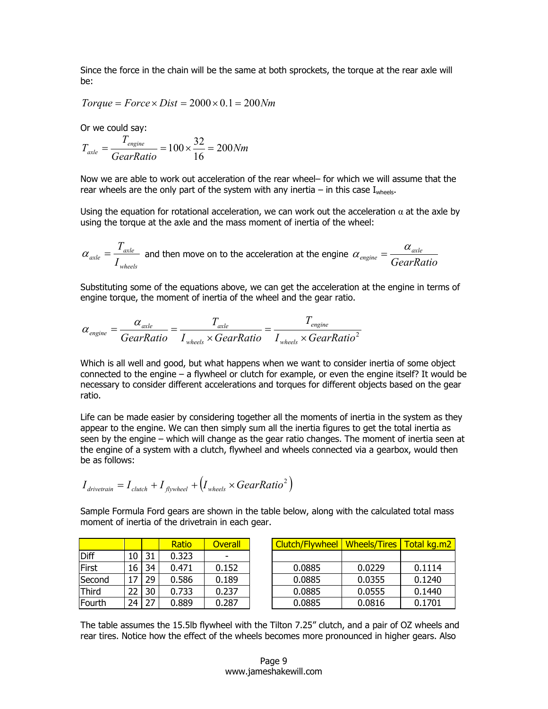Since the force in the chain will be the same at both sprockets, the torque at the rear axle will be:

 $Torque = Force \times Dist = 2000 \times 0.1 = 200Nm$ 

Or we could say:

$$
T_{\text{axle}} = \frac{T_{\text{engine}}}{\text{GearRatio}} = 100 \times \frac{32}{16} = 200 Nm
$$

Now we are able to work out acceleration of the rear wheel– for which we will assume that the rear wheels are the only part of the system with any inertia – in this case  $I_{\text{wheels}}$ .

Using the equation for rotational acceleration, we can work out the acceleration  $\alpha$  at the axle by using the torque at the axle and the mass moment of inertia of the wheel:

$$
\alpha_{\text{axle}} = \frac{T_{\text{axle}}}{I_{\text{wheels}}}
$$
 and then move on to the acceleration at the engine  $\alpha_{\text{engine}} = \frac{\alpha_{\text{axle}}}{\text{GearRatio}}$ 

Substituting some of the equations above, we can get the acceleration at the engine in terms of engine torque, the moment of inertia of the wheel and the gear ratio.

$$
\alpha_{\text{engine}} = \frac{\alpha_{\text{axle}}}{\text{GearRatio}} = \frac{T_{\text{axle}}}{I_{\text{wheels}} \times \text{GearRatio}} = \frac{T_{\text{engine}}}{I_{\text{wheels}} \times \text{GearRatio}^2}
$$

Which is all well and good, but what happens when we want to consider inertia of some object connected to the engine – a flywheel or clutch for example, or even the engine itself? It would be necessary to consider different accelerations and torques for different objects based on the gear ratio.

Life can be made easier by considering together all the moments of inertia in the system as they appear to the engine. We can then simply sum all the inertia figures to get the total inertia as seen by the engine – which will change as the gear ratio changes. The moment of inertia seen at the engine of a system with a clutch, flywheel and wheels connected via a gearbox, would then be as follows:

$$
I_{\text{drivetrain}} = I_{\text{clutch}} + I_{\text{flywheel}} + \left(I_{\text{wheels}} \times \text{GearRatio}^2\right)
$$

Sample Formula Ford gears are shown in the table below, along with the calculated total mass moment of inertia of the drivetrain in each gear.

|              |    |    | Ratio | <b>Overall</b>           | Clutch/Flywheel | <b>Wheels/Tires</b> | Total kg.m2 |
|--------------|----|----|-------|--------------------------|-----------------|---------------------|-------------|
| Diff         | 10 | 31 | 0.323 | $\overline{\phantom{0}}$ |                 |                     |             |
| First        | 16 | 34 | 0.471 | 0.152                    | 0.0885          | 0.0229              | 0.1114      |
| Second       |    | 29 | 0.586 | 0.189                    | 0.0885          | 0.0355              | 0.1240      |
| <b>Third</b> | 22 | 30 | 0.733 | 0.237                    | 0.0885          | 0.0555              | 0.1440      |
| Fourth       | 24 | 27 | 0.889 | 0.287                    | 0.0885          | 0.0816              | 0.1701      |

The table assumes the 15.5lb flywheel with the Tilton 7.25" clutch, and a pair of OZ wheels and rear tires. Notice how the effect of the wheels becomes more pronounced in higher gears. Also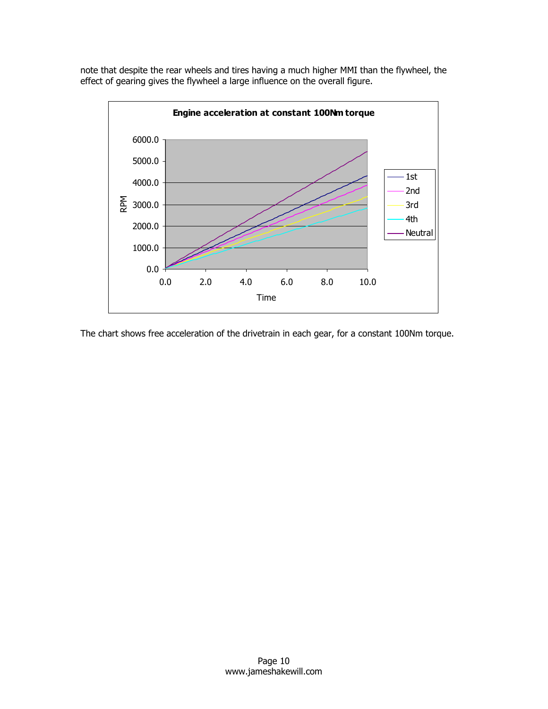note that despite the rear wheels and tires having a much higher MMI than the flywheel, the effect of gearing gives the flywheel a large influence on the overall figure.



The chart shows free acceleration of the drivetrain in each gear, for a constant 100Nm torque.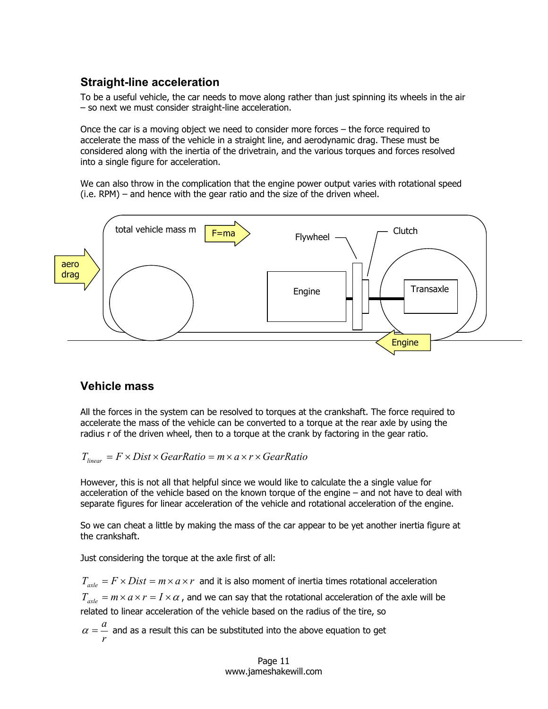## **Straight-line acceleration**

To be a useful vehicle, the car needs to move along rather than just spinning its wheels in the air – so next we must consider straight-line acceleration.

Once the car is a moving object we need to consider more forces – the force required to accelerate the mass of the vehicle in a straight line, and aerodynamic drag. These must be considered along with the inertia of the drivetrain, and the various torques and forces resolved into a single figure for acceleration.

We can also throw in the complication that the engine power output varies with rotational speed (i.e. RPM) – and hence with the gear ratio and the size of the driven wheel.



#### **Vehicle mass**

All the forces in the system can be resolved to torques at the crankshaft. The force required to accelerate the mass of the vehicle can be converted to a torque at the rear axle by using the radius r of the driven wheel, then to a torque at the crank by factoring in the gear ratio.

$$
T_{linear} = F \times Dist \times GearRatio = m \times a \times r \times GearRatio
$$

However, this is not all that helpful since we would like to calculate the a single value for acceleration of the vehicle based on the known torque of the engine – and not have to deal with separate figures for linear acceleration of the vehicle and rotational acceleration of the engine.

So we can cheat a little by making the mass of the car appear to be yet another inertia figure at the crankshaft.

Just considering the torque at the axle first of all:

 $T_{\text{avle}} = F \times Dist = m \times a \times r$  and it is also moment of inertia times rotational acceleration  $T_{\text{avle}} = m \times a \times r = I \times a$ , and we can say that the rotational acceleration of the axle will be related to linear acceleration of the vehicle based on the radius of the tire, so

*r*  $\alpha = \alpha$  and as a result this can be substituted into the above equation to get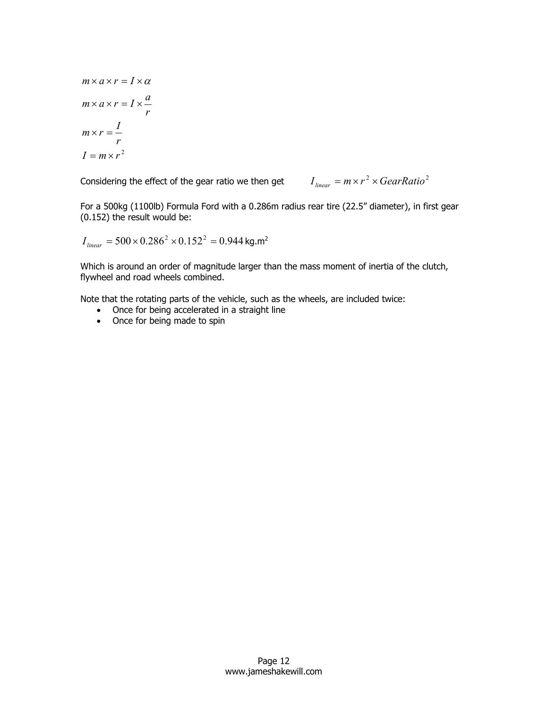$$
m \times a \times r = I \times a
$$
  
\n
$$
m \times a \times r = I \times \frac{a}{r}
$$
  
\n
$$
m \times r = \frac{I}{r}
$$
  
\n
$$
I = m \times r^2
$$

Considering the effect of the gear ratio we then get  $I_{linear} = m \times r^2 \times GearRatio^2$ 

For a 500kg (1100lb) Formula Ford with a 0.286m radius rear tire (22.5" diameter), in first gear (0.152) the result would be:

$$
I_{\text{linear}} = 500 \times 0.286^2 \times 0.152^2 = 0.944 \text{ kg.m}^2
$$

Which is around an order of magnitude larger than the mass moment of inertia of the clutch, flywheel and road wheels combined.

Note that the rotating parts of the vehicle, such as the wheels, are included twice:

- Once for being accelerated in a straight line
- Once for being made to spin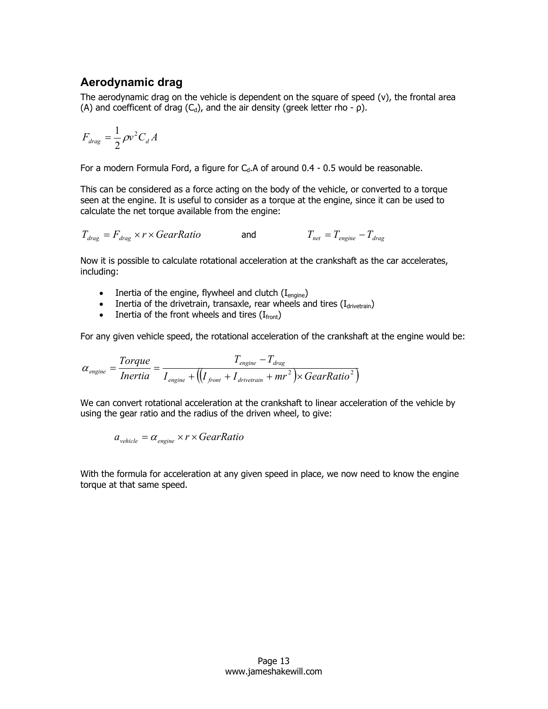#### **Aerodynamic drag**

The aerodynamic drag on the vehicle is dependent on the square of speed (v), the frontal area (A) and coefficent of drag  $(C_d)$ , and the air density (greek letter rho -  $\rho$ ).

$$
F_{drag} = \frac{1}{2} \rho v^2 C_d A
$$

For a modern Formula Ford, a figure for  $C<sub>d</sub>$ . A of around 0.4 - 0.5 would be reasonable.

This can be considered as a force acting on the body of the vehicle, or converted to a torque seen at the engine. It is useful to consider as a torque at the engine, since it can be used to calculate the net torque available from the engine:

 $T_{drag} = F_{drag} \times r \times GearRatio$  and  $T_{net} = T_{engine} - T_{drag}$ 

Now it is possible to calculate rotational acceleration at the crankshaft as the car accelerates, including:

- Inertia of the engine, flywheel and clutch  $(I_{\text{engine}})$
- Inertia of the drivetrain, transaxle, rear wheels and tires  $(I_{\text{divertain}})$
- Inertia of the front wheels and tires  $(I_{front})$

For any given vehicle speed, the rotational acceleration of the crankshaft at the engine would be:

$$
\alpha_{\text{engine}} = \frac{Torque}{Inertia} = \frac{T_{\text{engine}} - T_{\text{drag}}}{I_{\text{engine}} + ((I_{\text{front}} + I_{\text{drivetrain}} + mr^2) \times GearRatio^2)}
$$

We can convert rotational acceleration at the crankshaft to linear acceleration of the vehicle by using the gear ratio and the radius of the driven wheel, to give:

 $a_{\text{vehicle}} = \alpha_{\text{engine}} \times r \times \text{GearRatio}$ 

With the formula for acceleration at any given speed in place, we now need to know the engine torque at that same speed.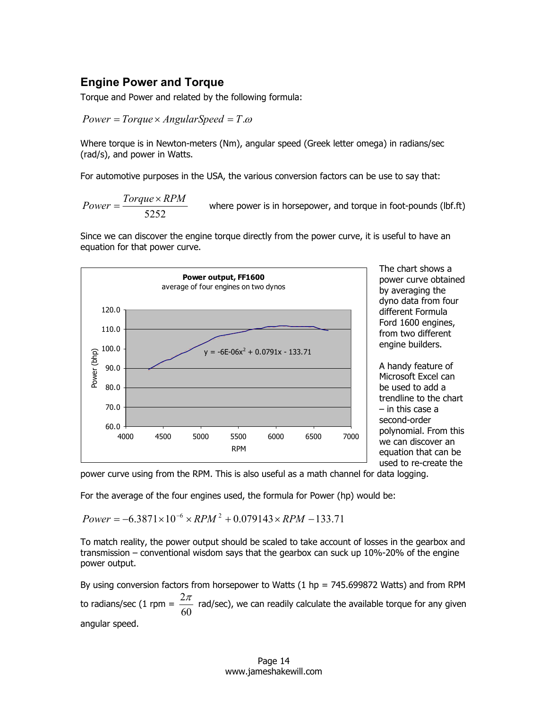#### **Engine Power and Torque**

Torque and Power and related by the following formula:

*Power* = *Torque* × *AngularSpeed* = *T*.<sup>ω</sup>

Where torque is in Newton-meters (Nm), angular speed (Greek letter omega) in radians/sec (rad/s), and power in Watts.

For automotive purposes in the USA, the various conversion factors can be use to say that:

5252  $Power = \frac{Torque \times RPM}{\sqrt{2}}$ where power is in horsepower, and torque in foot-pounds (lbf.ft)

Since we can discover the engine torque directly from the power curve, it is useful to have an equation for that power curve.



The chart shows a power curve obtained by averaging the dyno data from four different Formula Ford 1600 engines, from two different engine builders.

A handy feature of Microsoft Excel can be used to add a trendline to the chart – in this case a second-order polynomial. From this we can discover an equation that can be used to re-create the

power curve using from the RPM. This is also useful as a math channel for data logging.

For the average of the four engines used, the formula for Power (hp) would be:

 $Power = -6.3871 \times 10^{-6} \times RPM^2 + 0.079143 \times RPM - 133.71$ 

To match reality, the power output should be scaled to take account of losses in the gearbox and transmission – conventional wisdom says that the gearbox can suck up 10%-20% of the engine power output.

By using conversion factors from horsepower to Watts (1 hp = 745.699872 Watts) and from RPM to radians/sec (1 rpm =  $\frac{2\pi}{60}$  $\frac{2\pi}{\pi}$  rad/sec), we can readily calculate the available torque for any given angular speed.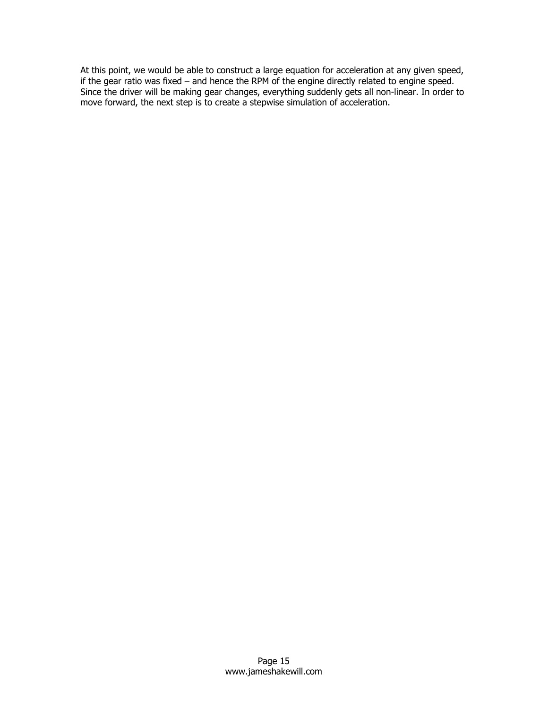At this point, we would be able to construct a large equation for acceleration at any given speed, if the gear ratio was fixed – and hence the RPM of the engine directly related to engine speed. Since the driver will be making gear changes, everything suddenly gets all non-linear. In order to move forward, the next step is to create a stepwise simulation of acceleration.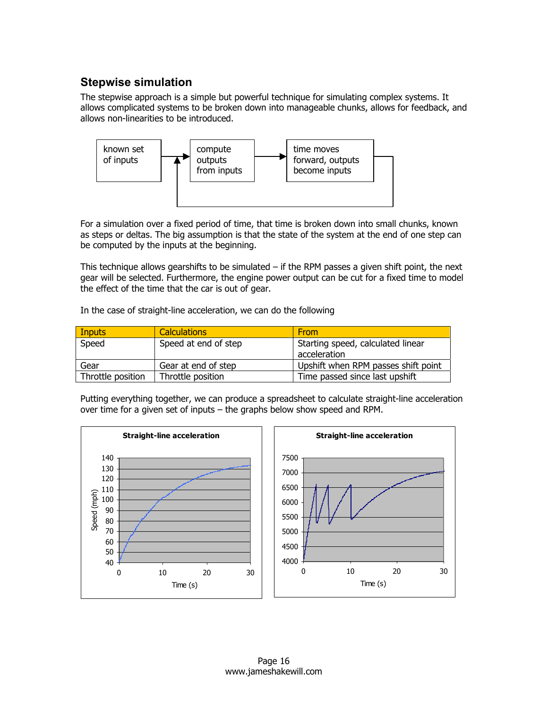# **Stepwise simulation**

The stepwise approach is a simple but powerful technique for simulating complex systems. It allows complicated systems to be broken down into manageable chunks, allows for feedback, and allows non-linearities to be introduced.



For a simulation over a fixed period of time, that time is broken down into small chunks, known as steps or deltas. The big assumption is that the state of the system at the end of one step can be computed by the inputs at the beginning.

This technique allows gearshifts to be simulated – if the RPM passes a given shift point, the next gear will be selected. Furthermore, the engine power output can be cut for a fixed time to model the effect of the time that the car is out of gear.

In the case of straight-line acceleration, we can do the following

| <b>Inputs</b>     | <b>Calculations</b>  | <b>From</b>                         |
|-------------------|----------------------|-------------------------------------|
| Speed             | Speed at end of step | Starting speed, calculated linear   |
|                   |                      | acceleration                        |
| Gear              | Gear at end of step  | Upshift when RPM passes shift point |
| Throttle position | Throttle position    | Time passed since last upshift      |

Putting everything together, we can produce a spreadsheet to calculate straight-line acceleration over time for a given set of inputs – the graphs below show speed and RPM.

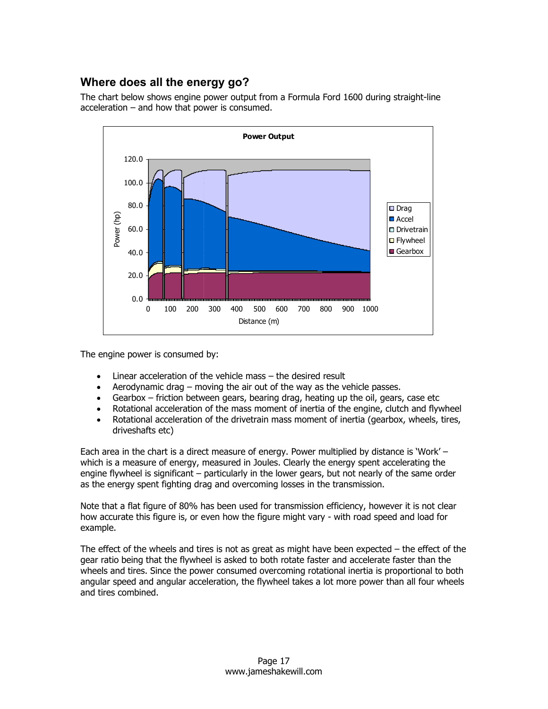## **Where does all the energy go?**

The chart below shows engine power output from a Formula Ford 1600 during straight-line acceleration – and how that power is consumed.



The engine power is consumed by:

- Linear acceleration of the vehicle mass the desired result
- Aerodynamic drag moving the air out of the way as the vehicle passes.
- Gearbox friction between gears, bearing drag, heating up the oil, gears, case etc
- Rotational acceleration of the mass moment of inertia of the engine, clutch and flywheel
- Rotational acceleration of the drivetrain mass moment of inertia (gearbox, wheels, tires, driveshafts etc)

Each area in the chart is a direct measure of energy. Power multiplied by distance is 'Work' – which is a measure of energy, measured in Joules. Clearly the energy spent accelerating the engine flywheel is significant – particularly in the lower gears, but not nearly of the same order as the energy spent fighting drag and overcoming losses in the transmission.

Note that a flat figure of 80% has been used for transmission efficiency, however it is not clear how accurate this figure is, or even how the figure might vary - with road speed and load for example.

The effect of the wheels and tires is not as great as might have been expected – the effect of the gear ratio being that the flywheel is asked to both rotate faster and accelerate faster than the wheels and tires. Since the power consumed overcoming rotational inertia is proportional to both angular speed and angular acceleration, the flywheel takes a lot more power than all four wheels and tires combined.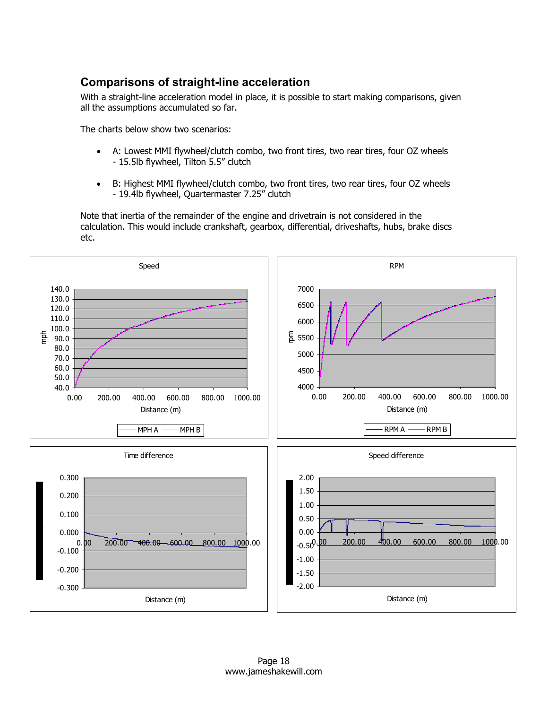# **Comparisons of straight-line acceleration**

With a straight-line acceleration model in place, it is possible to start making comparisons, given all the assumptions accumulated so far.

The charts below show two scenarios:

- A: Lowest MMI flywheel/clutch combo, two front tires, two rear tires, four OZ wheels - 15.5lb flywheel, Tilton 5.5" clutch
- B: Highest MMI flywheel/clutch combo, two front tires, two rear tires, four OZ wheels - 19.4lb flywheel, Quartermaster 7.25" clutch

Note that inertia of the remainder of the engine and drivetrain is not considered in the calculation. This would include crankshaft, gearbox, differential, driveshafts, hubs, brake discs etc.